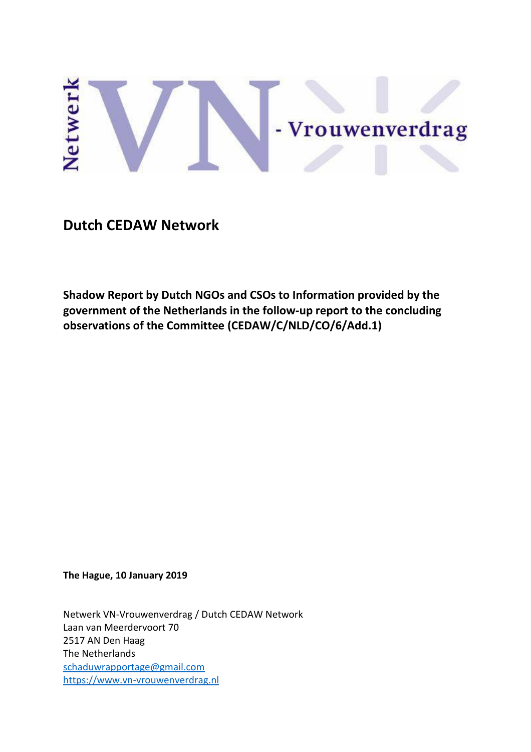# Netwerl - Vrouwenverdrag

**Dutch CEDAW Network** 

**Shadow Report by Dutch NGOs and CSOs to Information provided by the government of the Netherlands in the follow-up report to the concluding observations of the Committee (CEDAW/C/NLD/CO/6/Add.1)**

**The Hague, 10 January 2019**

Netwerk VN-Vrouwenverdrag / Dutch CEDAW Network Laan van Meerdervoort 70 2517 AN Den Haag The Netherlands [schaduwrapportage@gmail.com](mailto:schaduwrapportage@gmail.com) [https://www.vn-vrouwenverdrag.nl](https://www.vn-vrouwenverdrag.nl/)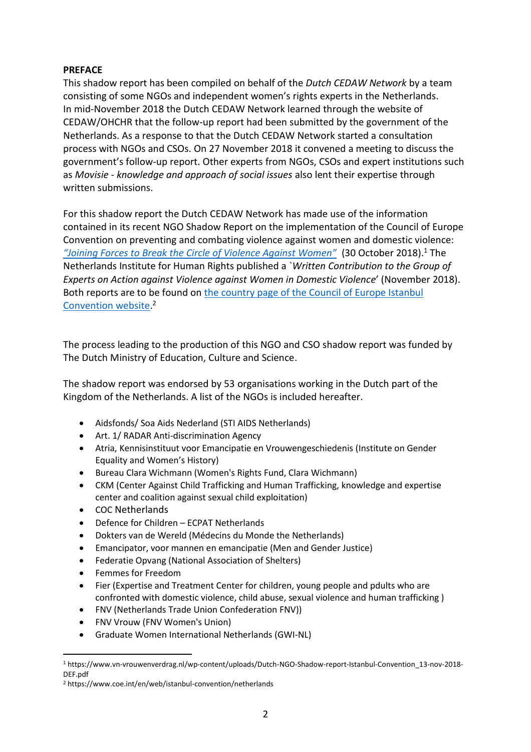## **PREFACE**

This shadow report has been compiled on behalf of the *Dutch CEDAW Network* by a team consisting of some NGOs and independent women's rights experts in the Netherlands. In mid-November 2018 the Dutch CEDAW Network learned through the website of CEDAW/OHCHR that the follow-up report had been submitted by the government of the Netherlands. As a response to that the Dutch CEDAW Network started a consultation process with NGOs and CSOs. On 27 November 2018 it convened a meeting to discuss the government's follow-up report. Other experts from NGOs, CSOs and expert institutions such as *Movisie - knowledge and approach of social issues* also lent their expertise through written submissions.

For this shadow report the Dutch CEDAW Network has made use of the information contained in its recent NGO Shadow Report on the implementation of the Council of Europe Convention on preventing and combating violence against women and domestic violence: *["Joining Forces to Break the Circle of Violence Against Women"](https://www.vn-vrouwenverdrag.nl/wp-content/uploads/Dutch-NGO-Shadow-report-Istanbul-Convention_13-nov-2018-DEF.pdf)* (30 October 2018).<sup>1</sup> The Netherlands Institute for Human Rights published a `*Written Contribution to the Group of Experts on Action against Violence against Women in Domestic Violence*' (November 2018). Both reports are to be found on [the country page of the Council of Europe Istanbul](https://www.coe.int/en/web/istanbul-convention/netherlands)  [Convention website.](https://www.coe.int/en/web/istanbul-convention/netherlands) 2

The process leading to the production of this NGO and CSO shadow report was funded by The Dutch Ministry of Education, Culture and Science.

The shadow report was endorsed by 53 organisations working in the Dutch part of the Kingdom of the Netherlands. A list of the NGOs is included hereafter.

- Aidsfonds/ Soa Aids Nederland (STI AIDS Netherlands)
- Art. 1/ RADAR Anti-discrimination Agency
- Atria, Kennisinstituut voor Emancipatie en Vrouwengeschiedenis (Institute on Gender Equality and Women's History)
- Bureau Clara Wichmann (Women's Rights Fund, Clara Wichmann)
- CKM (Center Against Child Trafficking and Human Trafficking, knowledge and expertise center and coalition against sexual child exploitation)
- COC Netherlands
- Defence for Children ECPAT Netherlands
- Dokters van de Wereld (Médecins du Monde the Netherlands)
- Emancipator, voor mannen en emancipatie (Men and Gender Justice)
- Federatie Opvang (National Association of Shelters)
- Femmes for Freedom

j

- Fier (Expertise and Treatment Center for children, young people and pdults who are confronted with domestic violence, child abuse, sexual violence and human trafficking )
- FNV (Netherlands Trade Union Confederation FNV))
- FNV Vrouw (FNV Women's Union)
- Graduate Women International Netherlands (GWI-NL)

<sup>1</sup> https://www.vn-vrouwenverdrag.nl/wp-content/uploads/Dutch-NGO-Shadow-report-Istanbul-Convention\_13-nov-2018- DEF.pdf

<sup>2</sup> https://www.coe.int/en/web/istanbul-convention/netherlands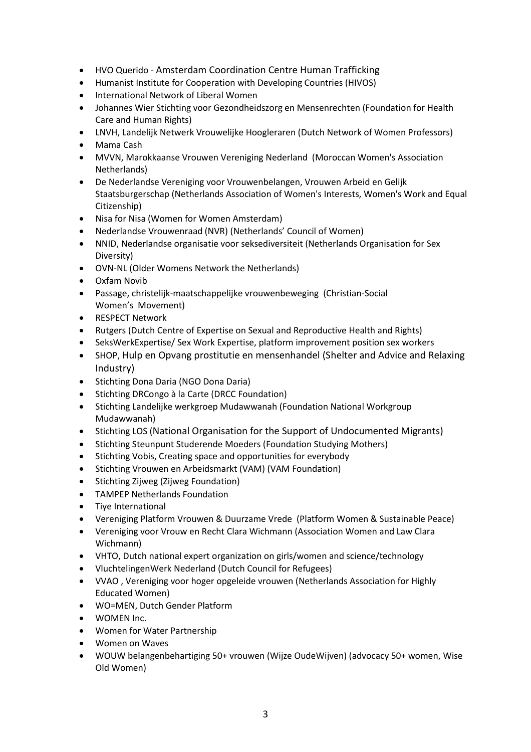- HVO Querido Amsterdam Coordination Centre Human Trafficking
- Humanist Institute for Cooperation with Developing Countries (HIVOS)
- International Network of Liberal Women
- Johannes Wier Stichting voor Gezondheidszorg en Mensenrechten (Foundation for Health Care and Human Rights)
- LNVH, Landelijk Netwerk Vrouwelijke Hoogleraren (Dutch Network of Women Professors)
- Mama Cash
- MVVN, Marokkaanse Vrouwen Vereniging Nederland (Moroccan Women's Association Netherlands)
- De Nederlandse Vereniging voor Vrouwenbelangen, Vrouwen Arbeid en Gelijk Staatsburgerschap (Netherlands Association of Women's Interests, Women's Work and Equal Citizenship)
- Nisa for Nisa (Women for Women Amsterdam)
- Nederlandse Vrouwenraad (NVR) (Netherlands' Council of Women)
- NNID, Nederlandse organisatie voor seksediversiteit (Netherlands Organisation for Sex Diversity)
- OVN-NL (Older Womens Network the Netherlands)
- Oxfam Novib
- Passage, christelijk-maatschappelijke vrouwenbeweging (Christian-Social Women's Movement)
- RESPECT Network
- Rutgers (Dutch Centre of Expertise on Sexual and Reproductive Health and Rights)
- SeksWerkExpertise/ Sex Work Expertise, platform improvement position sex workers
- SHOP, Hulp en Opvang prostitutie en mensenhandel (Shelter and Advice and Relaxing Industry)
- Stichting Dona Daria (NGO Dona Daria)
- Stichting DRCongo à la Carte (DRCC Foundation)
- Stichting Landelijke werkgroep Mudawwanah (Foundation National Workgroup Mudawwanah)
- Stichting LOS (National Organisation for the Support of Undocumented Migrants)
- Stichting Steunpunt Studerende Moeders (Foundation Studying Mothers)
- Stichting Vobis, Creating space and opportunities for everybody
- Stichting Vrouwen en Arbeidsmarkt (VAM) (VAM Foundation)
- Stichting Zijweg (Zijweg Foundation)
- TAMPEP Netherlands Foundation
- Tiye International
- Vereniging Platform Vrouwen & Duurzame Vrede (Platform Women & Sustainable Peace)
- Vereniging voor Vrouw en Recht Clara Wichmann (Association Women and Law Clara Wichmann)
- VHTO, Dutch national expert organization on girls/women and science/technology
- VluchtelingenWerk Nederland (Dutch Council for Refugees)
- VVAO , Vereniging voor hoger opgeleide vrouwen (Netherlands Association for Highly Educated Women)
- WO=MEN, Dutch Gender Platform
- WOMEN Inc.
- Women for Water Partnership
- Women on Waves
- WOUW belangenbehartiging 50+ vrouwen (Wijze OudeWijven) (advocacy 50+ women, Wise Old Women)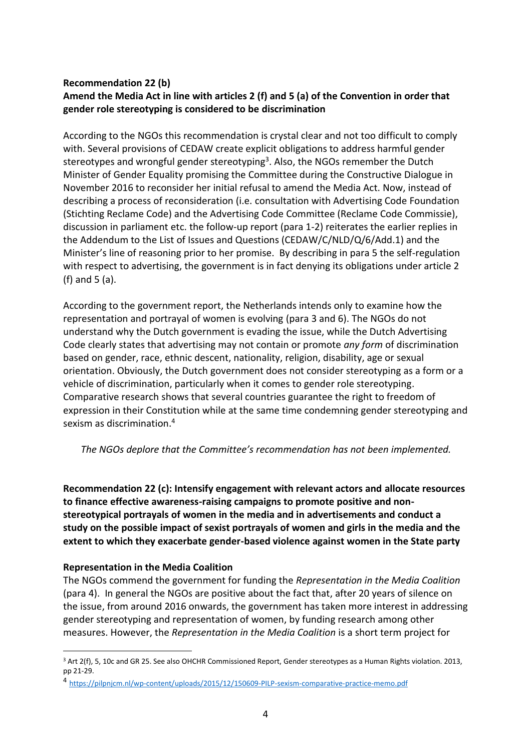# **Recommendation 22 (b) Amend the Media Act in line with articles 2 (f) and 5 (a) of the Convention in order that gender role stereotyping is considered to be discrimination**

According to the NGOs this recommendation is crystal clear and not too difficult to comply with. Several provisions of CEDAW create explicit obligations to address harmful gender stereotypes and wrongful gender stereotyping<sup>3</sup>. Also, the NGOs remember the Dutch Minister of Gender Equality promising the Committee during the Constructive Dialogue in November 2016 to reconsider her initial refusal to amend the Media Act. Now, instead of describing a process of reconsideration (i.e. consultation with Advertising Code Foundation (Stichting Reclame Code) and the Advertising Code Committee (Reclame Code Commissie), discussion in parliament etc. the follow-up report (para 1-2) reiterates the earlier replies in the Addendum to the List of Issues and Questions (CEDAW/C/NLD/Q/6/Add.1) and the Minister's line of reasoning prior to her promise. By describing in para 5 the self-regulation with respect to advertising, the government is in fact denying its obligations under article 2 (f) and 5 (a).

According to the government report, the Netherlands intends only to examine how the representation and portrayal of women is evolving (para 3 and 6). The NGOs do not understand why the Dutch government is evading the issue, while the Dutch Advertising Code clearly states that advertising may not contain or promote *any form* of discrimination based on gender, race, ethnic descent, nationality, religion, disability, age or sexual orientation. Obviously, the Dutch government does not consider stereotyping as a form or a vehicle of discrimination, particularly when it comes to gender role stereotyping. Comparative research shows that several countries guarantee the right to freedom of expression in their Constitution while at the same time condemning gender stereotyping and sexism as discrimination.<sup>4</sup>

*The NGOs deplore that the Committee's recommendation has not been implemented.*

**Recommendation 22 (c): Intensify engagement with relevant actors and allocate resources to finance effective awareness-raising campaigns to promote positive and nonstereotypical portrayals of women in the media and in advertisements and conduct a study on the possible impact of sexist portrayals of women and girls in the media and the extent to which they exacerbate gender-based violence against women in the State party**

# **Representation in the Media Coalition**

j

The NGOs commend the government for funding the *Representation in the Media Coalition* (para 4). In general the NGOs are positive about the fact that, after 20 years of silence on the issue, from around 2016 onwards, the government has taken more interest in addressing gender stereotyping and representation of women, by funding research among other measures. However, the *Representation in the Media Coalition* is a short term project for

<sup>&</sup>lt;sup>3</sup> Art 2(f), 5, 10c and GR 25. See also OHCHR Commissioned Report, Gender stereotypes as a Human Rights violation. 2013, pp 21-29.

<sup>4</sup> <https://pilpnjcm.nl/wp-content/uploads/2015/12/150609-PILP-sexism-comparative-practice-memo.pdf>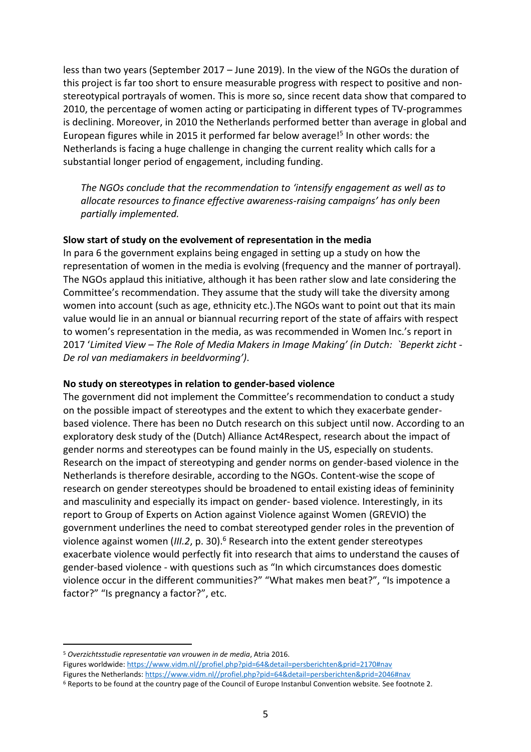less than two years (September 2017 – June 2019). In the view of the NGOs the duration of this project is far too short to ensure measurable progress with respect to positive and nonstereotypical portrayals of women. This is more so, since recent data show that compared to 2010, the percentage of women acting or participating in different types of TV-programmes is declining. Moreover, in 2010 the Netherlands performed better than average in global and European figures while in 2015 it performed far below average!<sup>5</sup> In other words: the Netherlands is facing a huge challenge in changing the current reality which calls for a substantial longer period of engagement, including funding.

*The NGOs conclude that the recommendation to 'intensify engagement as well as to allocate resources to finance effective awareness-raising campaigns' has only been partially implemented.*

### **Slow start of study on the evolvement of representation in the media**

In para 6 the government explains being engaged in setting up a study on how the representation of women in the media is evolving (frequency and the manner of portrayal). The NGOs applaud this initiative, although it has been rather slow and late considering the Committee's recommendation. They assume that the study will take the diversity among women into account (such as age, ethnicity etc.).The NGOs want to point out that its main value would lie in an annual or biannual recurring report of the state of affairs with respect to women's representation in the media, as was recommended in Women Inc.'s report in 2017 '*Limited View – The Role of Media Makers in Image Making' (in Dutch: `Beperkt zicht - De rol van mediamakers in beeldvorming')*.

### **No study on stereotypes in relation to gender-based violence**

The government did not implement the Committee's recommendation to conduct a study on the possible impact of stereotypes and the extent to which they exacerbate genderbased violence. There has been no Dutch research on this subject until now. According to an exploratory desk study of the (Dutch) Alliance Act4Respect, research about the impact of gender norms and stereotypes can be found mainly in the US, especially on students. Research on the impact of stereotyping and gender norms on gender-based violence in the Netherlands is therefore desirable, according to the NGOs. Content-wise the scope of research on gender stereotypes should be broadened to entail existing ideas of femininity and masculinity and especially its impact on gender- based violence. Interestingly, in its report to Group of Experts on Action against Violence against Women (GREVIO) the government underlines the need to combat stereotyped gender roles in the prevention of violence against women (*III.2*, p. 30).<sup>6</sup> Research into the extent gender stereotypes exacerbate violence would perfectly fit into research that aims to understand the causes of gender-based violence - with questions such as "In which circumstances does domestic violence occur in the different communities?" "What makes men beat?", "Is impotence a factor?" "Is pregnancy a factor?", etc.

Figures worldwide[: https://www.vidm.nl//profiel.php?pid=64&detail=persberichten&prid=2170#nav](https://www.vidm.nl/profiel.php?pid=64&detail=persberichten&prid=2170#nav) Figures the Netherlands: [https://www.vidm.nl//profiel.php?pid=64&detail=persberichten&prid=2046#nav](https://www.vidm.nl/profiel.php?pid=64&detail=persberichten&prid=2046#nav)

 $\overline{a}$ <sup>5</sup> *Overzichtsstudie representatie van vrouwen in de media*, Atria 2016.

<sup>6</sup> Reports to be found at the country page of the Council of Europe Instanbul Convention website. See footnote 2.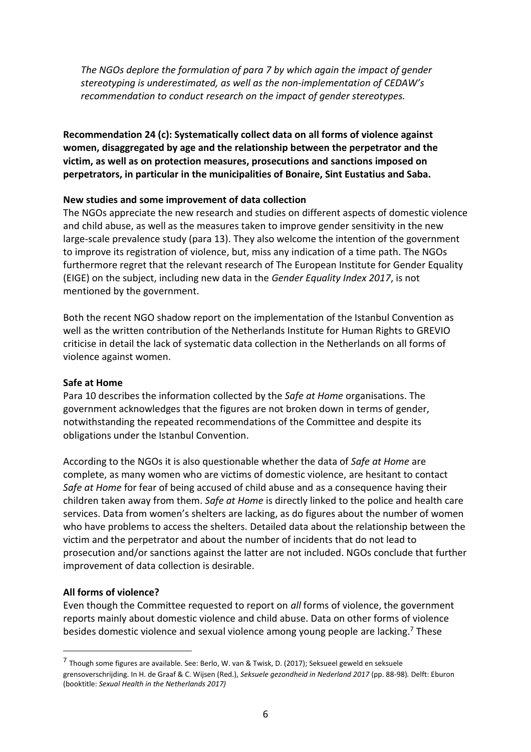*The NGOs deplore the formulation of para 7 by which again the impact of gender stereotyping is underestimated, as well as the non-implementation of CEDAW's recommendation to conduct research on the impact of gender stereotypes.*

**Recommendation 24 (c): Systematically collect data on all forms of violence against women, disaggregated by age and the relationship between the perpetrator and the victim, as well as on protection measures, prosecutions and sanctions imposed on perpetrators, in particular in the municipalities of Bonaire, Sint Eustatius and Saba.**

### **New studies and some improvement of data collection**

The NGOs appreciate the new research and studies on different aspects of domestic violence and child abuse, as well as the measures taken to improve gender sensitivity in the new large-scale prevalence study (para 13). They also welcome the intention of the government to improve its registration of violence, but, miss any indication of a time path. The NGOs furthermore regret that the relevant research of The European Institute for Gender Equality (EIGE) on the subject, including new data in the *Gender Equality Index 2017*, is not mentioned by the government.

Both the recent NGO shadow report on the implementation of the Istanbul Convention as well as the written contribution of the Netherlands Institute for Human Rights to GREVIO criticise in detail the lack of systematic data collection in the Netherlands on all forms of violence against women.

### **Safe at Home**

Para 10 describes the information collected by the *Safe at Home* organisations. The government acknowledges that the figures are not broken down in terms of gender, notwithstanding the repeated recommendations of the Committee and despite its obligations under the Istanbul Convention.

According to the NGOs it is also questionable whether the data of *Safe at Home* are complete, as many women who are victims of domestic violence, are hesitant to contact *Safe at Home* for fear of being accused of child abuse and as a consequence having their children taken away from them. *Safe at Home* is directly linked to the police and health care services. Data from women's shelters are lacking, as do figures about the number of women who have problems to access the shelters. Detailed data about the relationship between the victim and the perpetrator and about the number of incidents that do not lead to prosecution and/or sanctions against the latter are not included. NGOs conclude that further improvement of data collection is desirable.

# **All forms of violence?**

j

Even though the Committee requested to report on *all* forms of violence, the government reports mainly about domestic violence and child abuse. Data on other forms of violence besides domestic violence and sexual violence among young people are lacking.<sup>7</sup> These

<sup>&</sup>lt;sup>7</sup> Though some figures are available. See: Berlo, W. van & Twisk, D. (2017); Seksueel geweld en seksuele grensoverschrijding. In H. de Graaf & C. Wijsen (Red.), *Seksuele gezondheid in Nederland 2017* (pp. 88-98)*.* Delft: Eburon (booktitle: *Sexual Health in the Netherlands 2017)*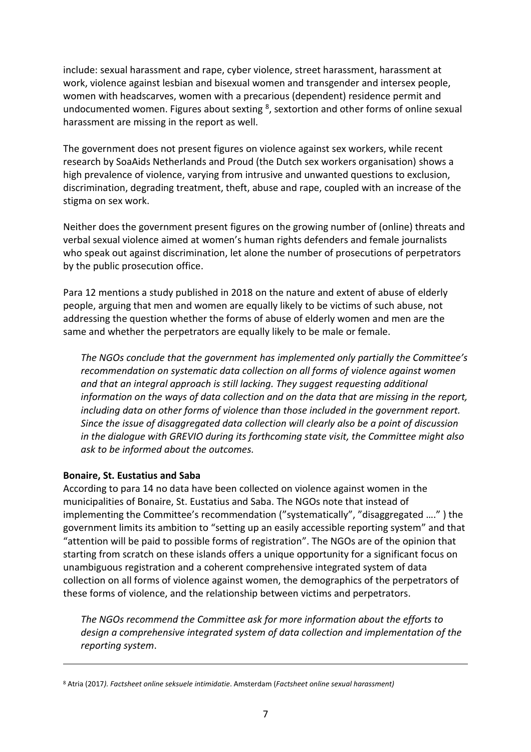include: sexual harassment and rape, cyber violence, street harassment, harassment at work, violence against lesbian and bisexual women and transgender and intersex people, women with headscarves, women with a precarious (dependent) residence permit and undocumented women. Figures about sexting <sup>8</sup>, sextortion and other forms of online sexual harassment are missing in the report as well.

The government does not present figures on violence against sex workers, while recent research by SoaAids Netherlands and Proud (the Dutch sex workers organisation) shows a high prevalence of violence, varying from intrusive and unwanted questions to exclusion, discrimination, degrading treatment, theft, abuse and rape, coupled with an increase of the stigma on sex work.

Neither does the government present figures on the growing number of (online) threats and verbal sexual violence aimed at women's human rights defenders and female journalists who speak out against discrimination, let alone the number of prosecutions of perpetrators by the public prosecution office.

Para 12 mentions a study published in 2018 on the nature and extent of abuse of elderly people, arguing that men and women are equally likely to be victims of such abuse, not addressing the question whether the forms of abuse of elderly women and men are the same and whether the perpetrators are equally likely to be male or female.

*The NGOs conclude that the government has implemented only partially the Committee's recommendation on systematic data collection on all forms of violence against women and that an integral approach is still lacking. They suggest requesting additional information on the ways of data collection and on the data that are missing in the report, including data on other forms of violence than those included in the government report. Since the issue of disaggregated data collection will clearly also be a point of discussion in the dialogue with GREVIO during its forthcoming state visit, the Committee might also ask to be informed about the outcomes.*

# **Bonaire, St. Eustatius and Saba**

-

According to para 14 no data have been collected on violence against women in the municipalities of Bonaire, St. Eustatius and Saba. The NGOs note that instead of implementing the Committee's recommendation ("systematically", "disaggregated …." ) the government limits its ambition to "setting up an easily accessible reporting system" and that "attention will be paid to possible forms of registration". The NGOs are of the opinion that starting from scratch on these islands offers a unique opportunity for a significant focus on unambiguous registration and a coherent comprehensive integrated system of data collection on all forms of violence against women, the demographics of the perpetrators of these forms of violence, and the relationship between victims and perpetrators.

*The NGOs recommend the Committee ask for more information about the efforts to design a comprehensive integrated system of data collection and implementation of the reporting system*.

<sup>8</sup> Atria (2017*). Factsheet online seksuele intimidatie*. Amsterdam (*Factsheet online sexual harassment)*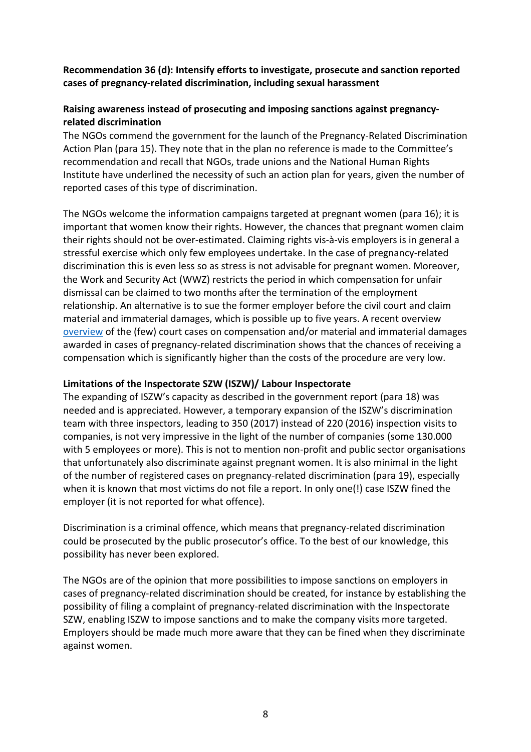**Recommendation 36 (d): Intensify efforts to investigate, prosecute and sanction reported cases of pregnancy-related discrimination, including sexual harassment**

# **Raising awareness instead of prosecuting and imposing sanctions against pregnancyrelated discrimination**

The NGOs commend the government for the launch of the Pregnancy-Related Discrimination Action Plan (para 15). They note that in the plan no reference is made to the Committee's recommendation and recall that NGOs, trade unions and the National Human Rights Institute have underlined the necessity of such an action plan for years, given the number of reported cases of this type of discrimination.

The NGOs welcome the information campaigns targeted at pregnant women (para 16); it is important that women know their rights. However, the chances that pregnant women claim their rights should not be over-estimated. Claiming rights vis-à-vis employers is in general a stressful exercise which only few employees undertake. In the case of pregnancy-related discrimination this is even less so as stress is not advisable for pregnant women. Moreover, the Work and Security Act (WWZ) restricts the period in which compensation for unfair dismissal can be claimed to two months after the termination of the employment relationship. An alternative is to sue the former employer before the civil court and claim material and immaterial damages, which is possible up to five years. A recent overview [overview](https://www.vrouwenrecht.nl/2018/11/30/marlies-vegter-schadevergoeding-bij-zwangerschapsdiscriminatie-inleiding-voor-werkgroep-sociaal-en-europees-recht-22-november-2018/) of the (few) court cases on compensation and/or material and immaterial damages awarded in cases of pregnancy-related discrimination shows that the chances of receiving a compensation which is significantly higher than the costs of the procedure are very low.

### **Limitations of the Inspectorate SZW (ISZW)/ Labour Inspectorate**

The expanding of ISZW's capacity as described in the government report (para 18) was needed and is appreciated. However, a temporary expansion of the ISZW's discrimination team with three inspectors, leading to 350 (2017) instead of 220 (2016) inspection visits to companies, is not very impressive in the light of the number of companies (some 130.000 with 5 employees or more). This is not to mention non-profit and public sector organisations that unfortunately also discriminate against pregnant women. It is also minimal in the light of the number of registered cases on pregnancy-related discrimination (para 19), especially when it is known that most victims do not file a report. In only one(!) case ISZW fined the employer (it is not reported for what offence).

Discrimination is a criminal offence, which means that pregnancy-related discrimination could be prosecuted by the public prosecutor's office. To the best of our knowledge, this possibility has never been explored.

The NGOs are of the opinion that more possibilities to impose sanctions on employers in cases of pregnancy-related discrimination should be created, for instance by establishing the possibility of filing a complaint of pregnancy-related discrimination with the Inspectorate SZW, enabling ISZW to impose sanctions and to make the company visits more targeted. Employers should be made much more aware that they can be fined when they discriminate against women.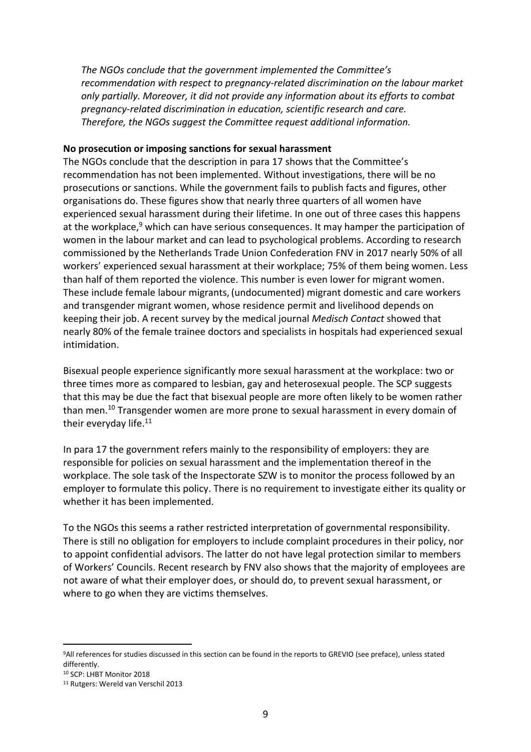*The NGOs conclude that the government implemented the Committee's recommendation with respect to pregnancy-related discrimination on the labour market only partially. Moreover, it did not provide any information about its efforts to combat pregnancy-related discrimination in education, scientific research and care. Therefore, the NGOs suggest the Committee request additional information.*

### **No prosecution or imposing sanctions for sexual harassment**

The NGOs conclude that the description in para 17 shows that the Committee's recommendation has not been implemented. Without investigations, there will be no prosecutions or sanctions. While the government fails to publish facts and figures, other organisations do. These figures show that nearly three quarters of all women have experienced sexual harassment during their lifetime. In one out of three cases this happens at the workplace,<sup>9</sup> which can have serious consequences. It may hamper the participation of women in the labour market and can lead to psychological problems. According to research commissioned by the Netherlands Trade Union Confederation FNV in 2017 nearly 50% of all workers' experienced sexual harassment at their workplace; 75% of them being women. Less than half of them reported the violence. This number is even lower for migrant women. These include female labour migrants, (undocumented) migrant domestic and care workers and transgender migrant women, whose residence permit and livelihood depends on keeping their job. A recent survey by the medical journal *Medisch Contact* showed that nearly 80% of the female trainee doctors and specialists in hospitals had experienced sexual intimidation.

Bisexual people experience significantly more sexual harassment at the workplace: two or three times more as compared to lesbian, gay and heterosexual people. The SCP suggests that this may be due the fact that bisexual people are more often likely to be women rather than men.<sup>10</sup> Transgender women are more prone to sexual harassment in every domain of their everyday life.<sup>11</sup>

In para 17 the government refers mainly to the responsibility of employers: they are responsible for policies on sexual harassment and the implementation thereof in the workplace. The sole task of the Inspectorate SZW is to monitor the process followed by an employer to formulate this policy. There is no requirement to investigate either its quality or whether it has been implemented.

To the NGOs this seems a rather restricted interpretation of governmental responsibility. There is still no obligation for employers to include complaint procedures in their policy, nor to appoint confidential advisors. The latter do not have legal protection similar to members of Workers' Councils. Recent research by FNV also shows that the majority of employees are not aware of what their employer does, or should do, to prevent sexual harassment, or where to go when they are victims themselves.

 $\overline{a}$ 

<sup>9</sup>All references for studies discussed in this section can be found in the reports to GREVIO (see preface), unless stated differently.

<sup>10</sup> SCP: LHBT Monitor 2018

<sup>11</sup> Rutgers: Wereld van Verschil 2013